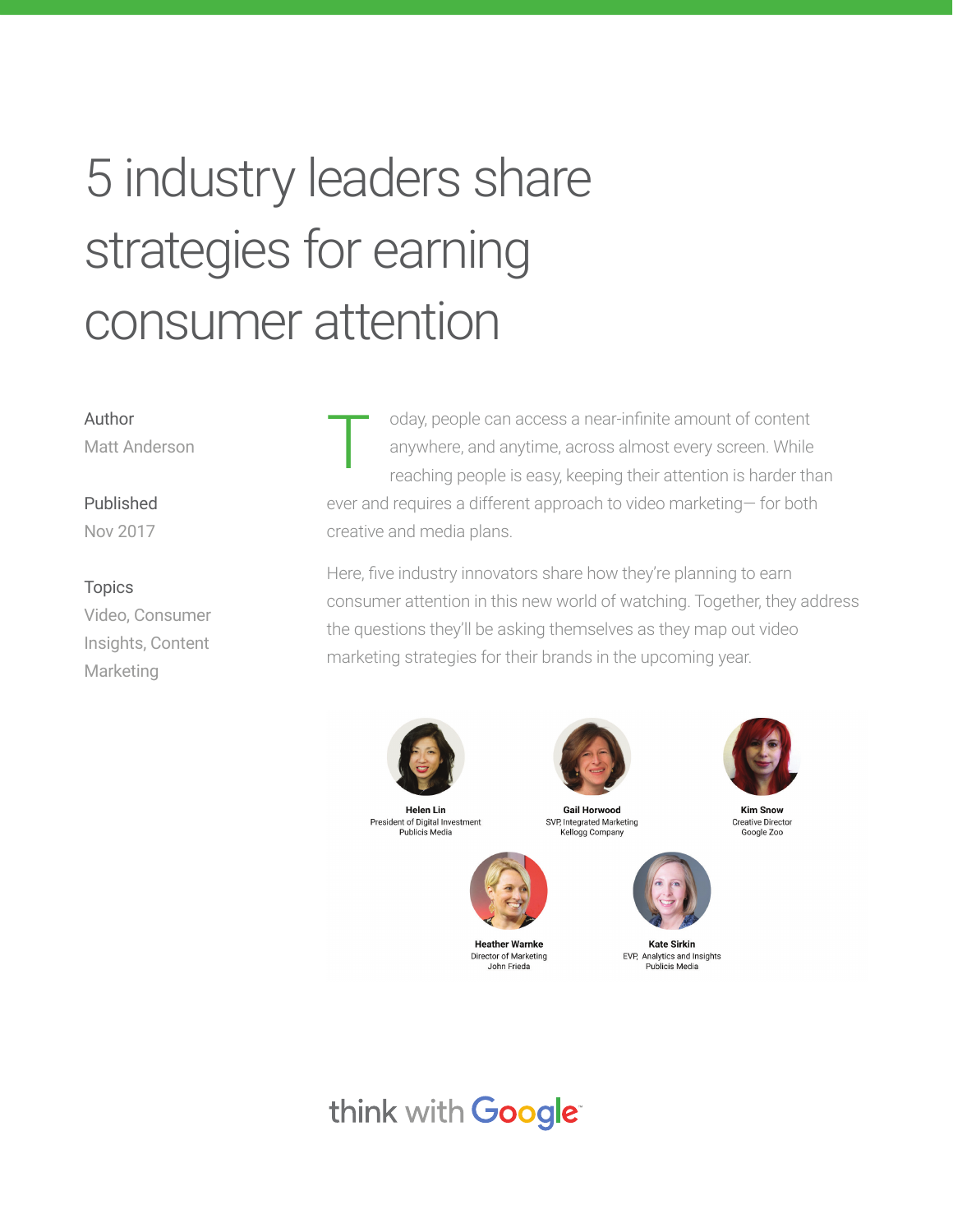# 5 industry leaders share strategies for earning consumer attention

#### Author Matt Anderson

Published

Nov 2017

#### Topics

Video, Consumer Insights, Content Marketing

oday, people can access a near-infinite amount of content anywhere, and anytime, across almost every screen. While reaching people is easy, keeping their attention is harder than ever and requires a different approach to video marketing— for both creative and media plans. T

Here, five industry innovators share how they're planning to earn consumer attention in this new world of watching. Together, they address the questions they'll be asking themselves as they map out video marketing strategies for their brands in the upcoming year.



**Helen Lin** President of Digital Investment Publicis Media



**Heather Warnke** Director of Marketing John Frieda

**Gail Horwood** SVP, Integrated Marketing Kellogg Company



**Kate Sirkin** EVP, Analytics and Insights Publicis Media



**Kim Snow Creative Director** Google Zoo

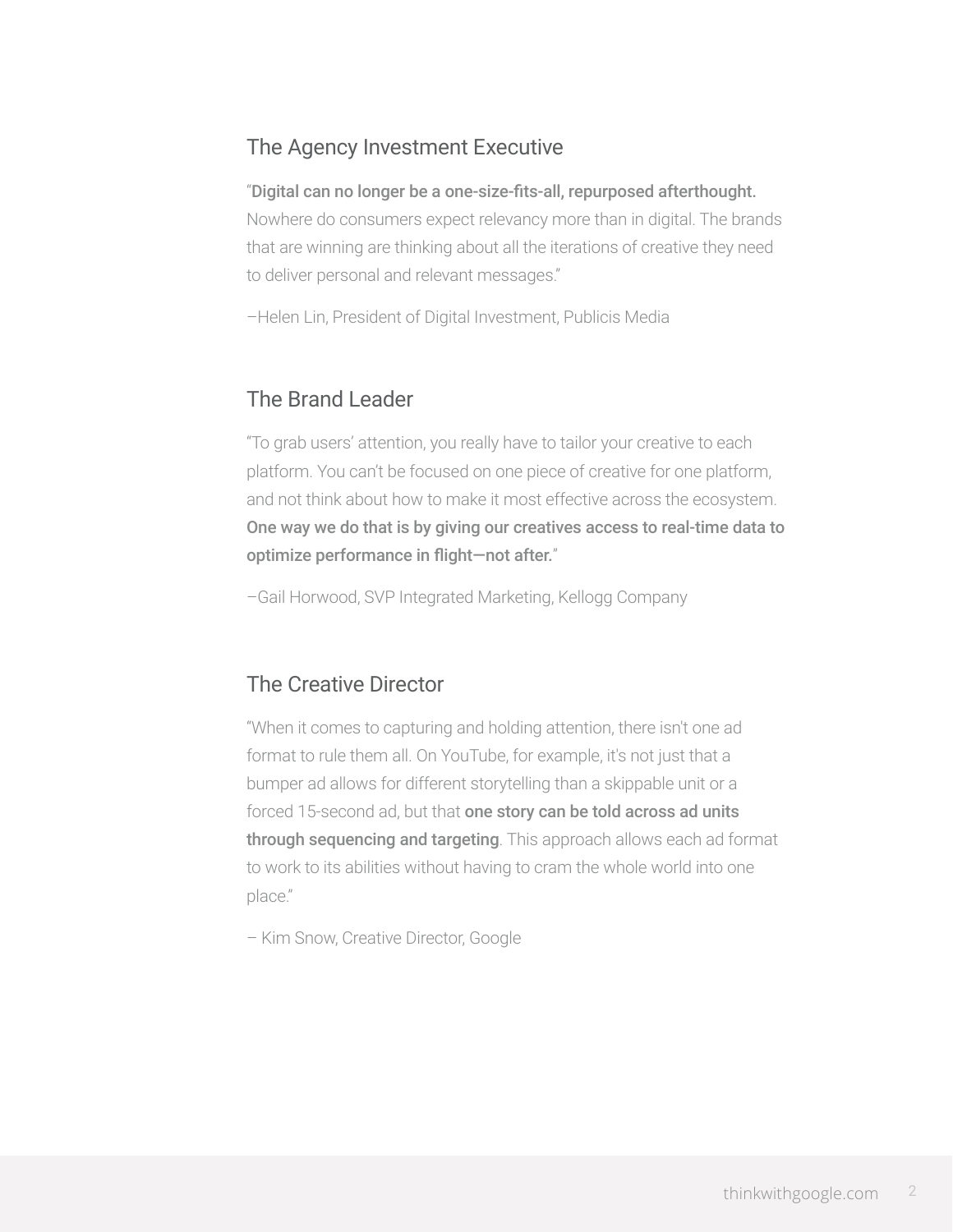## The Agency Investment Executive

#### "Digital can no longer be a one-size-fits-all, repurposed afterthought.

Nowhere do consumers expect relevancy more than in digital. The brands that are winning are thinking about all the iterations of creative they need to deliver personal and relevant messages."

–Helen Lin, President of Digital Investment, Publicis Media

### The Brand Leader

"To grab users' attention, you really have to tailor your creative to each platform. You can't be focused on one piece of creative for one platform, and not think about how to make it most effective across the ecosystem. One way we do that is by giving our creatives access to real-time data to optimize performance in flight—not after."

–Gail Horwood, SVP Integrated Marketing, Kellogg Company

## The Creative Director

"When it comes to capturing and holding attention, there isn't one ad format to rule them all. On YouTube, for example, it's not just that a bumper ad allows for different storytelling than a skippable unit or a forced 15-second ad, but that one story can be told across ad units through sequencing and targeting. This approach allows each ad format to work to its abilities without having to cram the whole world into one place."

– Kim Snow, Creative Director, Google